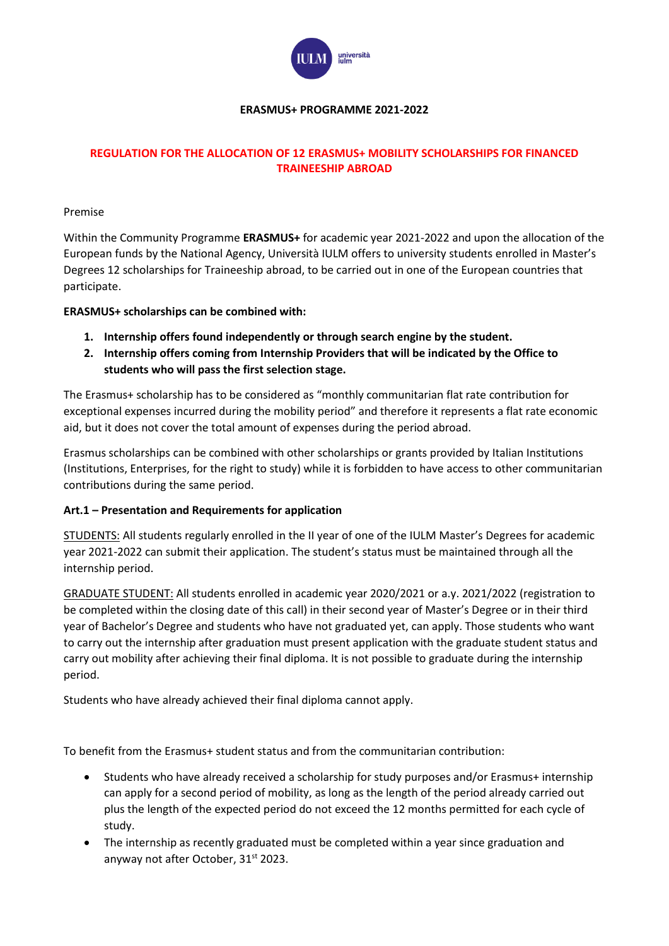

### **ERASMUS+ PROGRAMME 2021-2022**

## **REGULATION FOR THE ALLOCATION OF 12 ERASMUS+ MOBILITY SCHOLARSHIPS FOR FINANCED TRAINEESHIP ABROAD**

#### Premise

Within the Community Programme **ERASMUS+** for academic year 2021-2022 and upon the allocation of the European funds by the National Agency, Università IULM offers to university students enrolled in Master's Degrees 12 scholarships for Traineeship abroad, to be carried out in one of the European countries that participate.

### **ERASMUS+ scholarships can be combined with:**

- **1. Internship offers found independently or through search engine by the student.**
- **2. Internship offers coming from Internship Providers that will be indicated by the Office to students who will pass the first selection stage.**

The Erasmus+ scholarship has to be considered as "monthly communitarian flat rate contribution for exceptional expenses incurred during the mobility period" and therefore it represents a flat rate economic aid, but it does not cover the total amount of expenses during the period abroad.

Erasmus scholarships can be combined with other scholarships or grants provided by Italian Institutions (Institutions, Enterprises, for the right to study) while it is forbidden to have access to other communitarian contributions during the same period.

## **Art.1 – Presentation and Requirements for application**

STUDENTS: All students regularly enrolled in the II year of one of the IULM Master's Degrees for academic year 2021-2022 can submit their application. The student's status must be maintained through all the internship period.

GRADUATE STUDENT: All students enrolled in academic year 2020/2021 or a.y. 2021/2022 (registration to be completed within the closing date of this call) in their second year of Master's Degree or in their third year of Bachelor's Degree and students who have not graduated yet, can apply. Those students who want to carry out the internship after graduation must present application with the graduate student status and carry out mobility after achieving their final diploma. It is not possible to graduate during the internship period.

Students who have already achieved their final diploma cannot apply.

To benefit from the Erasmus+ student status and from the communitarian contribution:

- Students who have already received a scholarship for study purposes and/or Erasmus+ internship can apply for a second period of mobility, as long as the length of the period already carried out plus the length of the expected period do not exceed the 12 months permitted for each cycle of study.
- The internship as recently graduated must be completed within a year since graduation and anyway not after October, 31<sup>st</sup> 2023.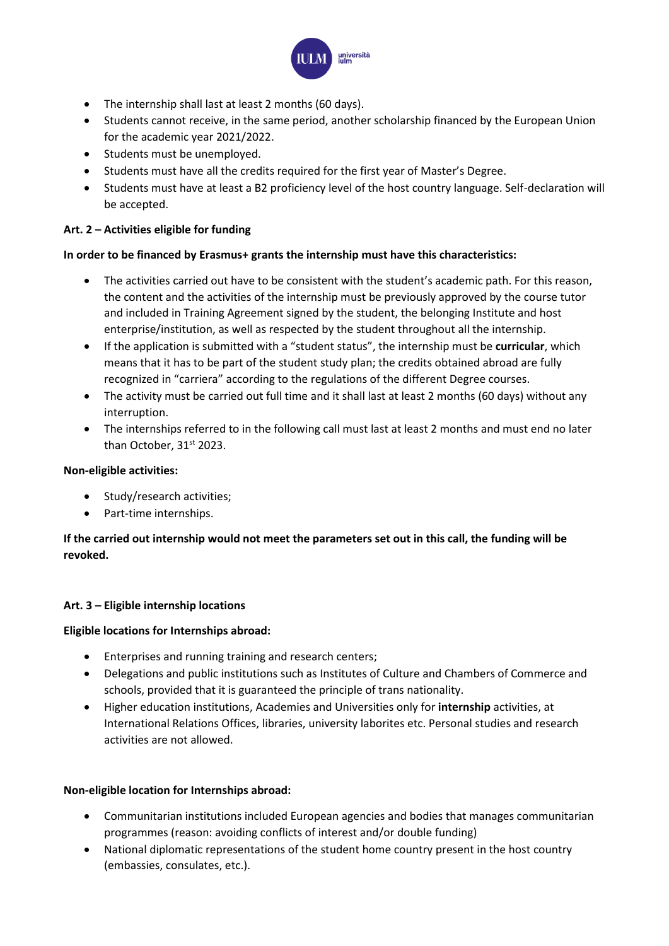

- The internship shall last at least 2 months (60 days).
- Students cannot receive, in the same period, another scholarship financed by the European Union for the academic year 2021/2022.
- Students must be unemployed.
- Students must have all the credits required for the first year of Master's Degree.
- Students must have at least a B2 proficiency level of the host country language. Self-declaration will be accepted.

### **Art. 2 – Activities eligible for funding**

### **In order to be financed by Erasmus+ grants the internship must have this characteristics:**

- The activities carried out have to be consistent with the student's academic path. For this reason, the content and the activities of the internship must be previously approved by the course tutor and included in Training Agreement signed by the student, the belonging Institute and host enterprise/institution, as well as respected by the student throughout all the internship.
- If the application is submitted with a "student status", the internship must be **curricular**, which means that it has to be part of the student study plan; the credits obtained abroad are fully recognized in "carriera" according to the regulations of the different Degree courses.
- The activity must be carried out full time and it shall last at least 2 months (60 days) without any interruption.
- The internships referred to in the following call must last at least 2 months and must end no later than October, 31<sup>st</sup> 2023.

#### **Non-eligible activities:**

- Study/research activities;
- Part-time internships.

# **If the carried out internship would not meet the parameters set out in this call, the funding will be revoked.**

## **Art. 3 – Eligible internship locations**

#### **Eligible locations for Internships abroad:**

- Enterprises and running training and research centers;
- Delegations and public institutions such as Institutes of Culture and Chambers of Commerce and schools, provided that it is guaranteed the principle of trans nationality.
- Higher education institutions, Academies and Universities only for **internship** activities, at International Relations Offices, libraries, university laborites etc. Personal studies and research activities are not allowed.

#### **Non-eligible location for Internships abroad:**

- Communitarian institutions included European agencies and bodies that manages communitarian programmes (reason: avoiding conflicts of interest and/or double funding)
- National diplomatic representations of the student home country present in the host country (embassies, consulates, etc.).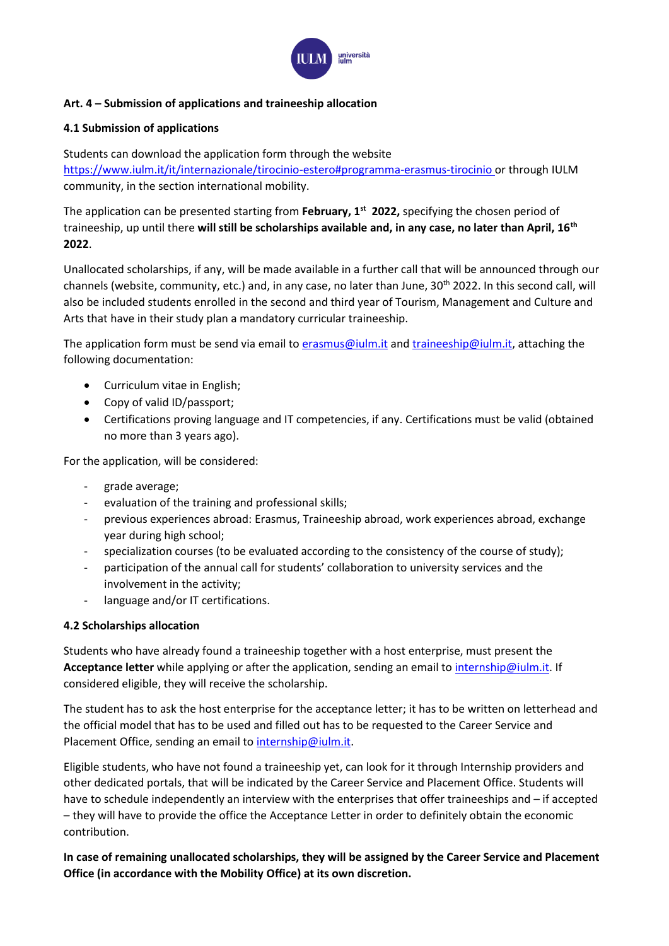

## **Art. 4 – Submission of applications and traineeship allocation**

#### **4.1 Submission of applications**

Students can download the application form through the website <https://www.iulm.it/it/internazionale/tirocinio-estero#programma-erasmus-tirocinio> or through IULM community, in the section international mobility.

The application can be presented starting from **February, 1st 2022,** specifying the chosen period of traineeship, up until there **will still be scholarships available and, in any case, no later than April, 16th 2022**.

Unallocated scholarships, if any, will be made available in a further call that will be announced through our channels (website, community, etc.) and, in any case, no later than June, 30<sup>th</sup> 2022. In this second call, will also be included students enrolled in the second and third year of Tourism, Management and Culture and Arts that have in their study plan a mandatory curricular traineeship.

The application form must be send via email to [erasmus@iulm.it](mailto:erasmus@iulm.it) and [traineeship@iulm.it,](mailto:traineeship@iulm.it) attaching the following documentation:

- Curriculum vitae in English;
- Copy of valid ID/passport;
- Certifications proving language and IT competencies, if any. Certifications must be valid (obtained no more than 3 years ago).

For the application, will be considered:

- grade average;
- evaluation of the training and professional skills;
- previous experiences abroad: Erasmus, Traineeship abroad, work experiences abroad, exchange year during high school;
- specialization courses (to be evaluated according to the consistency of the course of study);
- participation of the annual call for students' collaboration to university services and the involvement in the activity;
- language and/or IT certifications.

#### **4.2 Scholarships allocation**

Students who have already found a traineeship together with a host enterprise, must present the **Acceptance letter** while applying or after the application, sending an email to [internship@iulm.it.](mailto:internship@iulm.it) If considered eligible, they will receive the scholarship.

The student has to ask the host enterprise for the acceptance letter; it has to be written on letterhead and the official model that has to be used and filled out has to be requested to the Career Service and Placement Office, sending an email to [internship@iulm.it.](mailto:internship@iulm.it)

Eligible students, who have not found a traineeship yet, can look for it through Internship providers and other dedicated portals, that will be indicated by the Career Service and Placement Office. Students will have to schedule independently an interview with the enterprises that offer traineeships and – if accepted – they will have to provide the office the Acceptance Letter in order to definitely obtain the economic contribution.

**In case of remaining unallocated scholarships, they will be assigned by the Career Service and Placement Office (in accordance with the Mobility Office) at its own discretion.**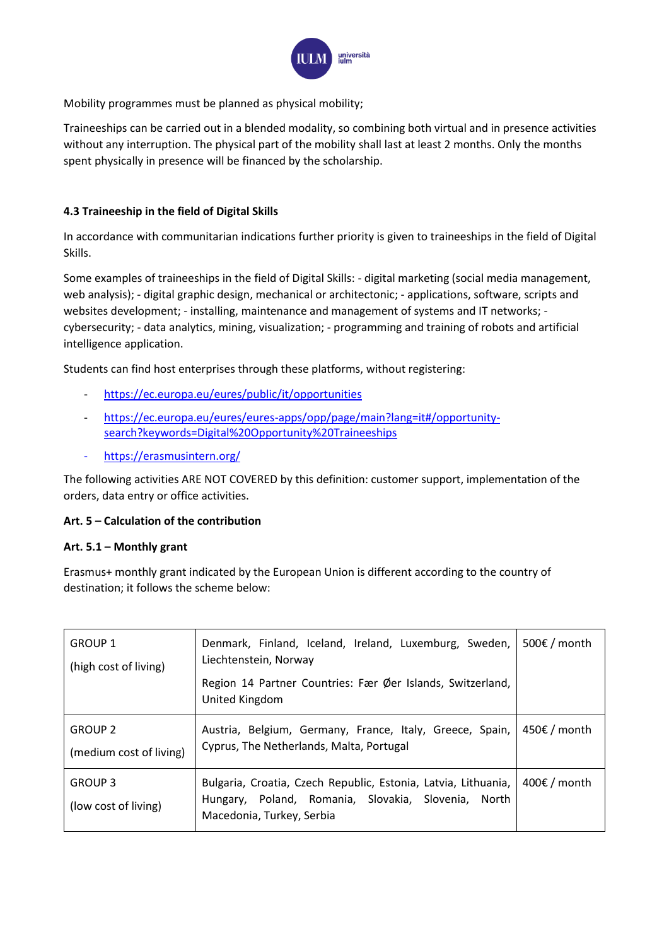

Mobility programmes must be planned as physical mobility;

Traineeships can be carried out in a blended modality, so combining both virtual and in presence activities without any interruption. The physical part of the mobility shall last at least 2 months. Only the months spent physically in presence will be financed by the scholarship.

## **4.3 Traineeship in the field of Digital Skills**

In accordance with communitarian indications further priority is given to traineeships in the field of Digital Skills.

Some examples of traineeships in the field of Digital Skills: - digital marketing (social media management, web analysis); - digital graphic design, mechanical or architectonic; - applications, software, scripts and websites development; - installing, maintenance and management of systems and IT networks; cybersecurity; - data analytics, mining, visualization; - programming and training of robots and artificial intelligence application.

Students can find host enterprises through these platforms, without registering:

- <https://ec.europa.eu/eures/public/it/opportunities>
- [https://ec.europa.eu/eures/eures-apps/opp/page/main?lang=it#/opportunity](https://ec.europa.eu/eures/eures-apps/opp/page/main?lang=it#/opportunity-search?keywords=Digital%20Opportunity%20Traineeships)[search?keywords=Digital%20Opportunity%20Traineeships](https://ec.europa.eu/eures/eures-apps/opp/page/main?lang=it#/opportunity-search?keywords=Digital%20Opportunity%20Traineeships)
- [https://erasmusintern.org/](https://erasmusplus.us18.list-manage.com/track/click?u=80ad0ff1ec2d5a04f9bf33eb3&id=b5baa995fa&e=72885e712f)

The following activities ARE NOT COVERED by this definition: customer support, implementation of the orders, data entry or office activities.

#### **Art. 5 – Calculation of the contribution**

#### **Art. 5.1 – Monthly grant**

Erasmus+ monthly grant indicated by the European Union is different according to the country of destination; it follows the scheme below:

| <b>GROUP 1</b><br>(high cost of living)   | Denmark, Finland, Iceland, Ireland, Luxemburg, Sweden,<br>Liechtenstein, Norway<br>Region 14 Partner Countries: Fær Øer Islands, Switzerland,<br>United Kingdom | 500€ / month |
|-------------------------------------------|-----------------------------------------------------------------------------------------------------------------------------------------------------------------|--------------|
| <b>GROUP 2</b><br>(medium cost of living) | Austria, Belgium, Germany, France, Italy, Greece, Spain,<br>Cyprus, The Netherlands, Malta, Portugal                                                            | 450€ / month |
| <b>GROUP 3</b><br>(low cost of living)    | Bulgaria, Croatia, Czech Republic, Estonia, Latvia, Lithuania,<br>Hungary, Poland, Romania, Slovakia, Slovenia, North<br>Macedonia, Turkey, Serbia              | 400€ / month |